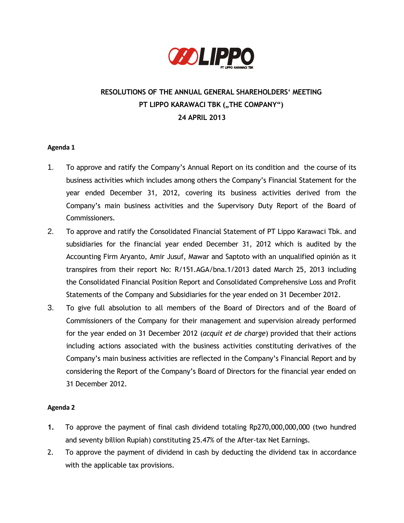

# **RESOLUTIONS OF THE ANNUAL GENERAL SHAREHOLDERS' MEETING PT LIPPO KARAWACI TBK ("THE COMPANY") 24 APRIL 2013**

## **Agenda 1**

- 1. To approve and ratify the Company's Annual Report on its condition and the course of its business activities which includes among others the Company's Financial Statement for the year ended December 31, 2012, covering its business activities derived from the Company's main business activities and the Supervisory Duty Report of the Board of Commissioners.
- 2. To approve and ratify the Consolidated Financial Statement of PT Lippo Karawaci Tbk. and subsidiaries for the financial year ended December 31, 2012 which is audited by the Accounting Firm Aryanto, Amir Jusuf, Mawar and Saptoto with an unqualified opinión as it transpires from their report No: R/151.AGA/bna.1/2013 dated March 25, 2013 including the Consolidated Financial Position Report and Consolidated Comprehensive Loss and Profit Statements of the Company and Subsidiaries for the year ended on 31 December 2012.
- 3. To give full absolution to all members of the Board of Directors and of the Board of Commissioners of the Company for their management and supervision already performed for the year ended on 31 December 2012 (*acquit et de charge*) provided that their actions including actions associated with the business activities constituting derivatives of the Company's main business activities are reflected in the Company's Financial Report and by considering the Report of the Company's Board of Directors for the financial year ended on 31 December 2012.

#### **Agenda 2**

- **1.** To approve the payment of final cash dividend totaling Rp270,000,000,000 (two hundred and seventy billion Rupiah) constituting 25.47% of the After-tax Net Earnings.
- 2. To approve the payment of dividend in cash by deducting the dividend tax in accordance with the applicable tax provisions.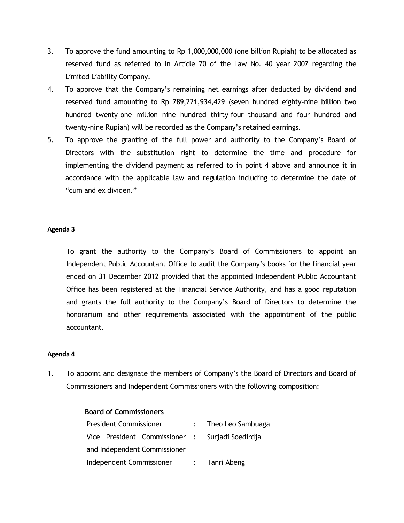- 3. To approve the fund amounting to Rp 1,000,000,000 (one billion Rupiah) to be allocated as reserved fund as referred to in Article 70 of the Law No. 40 year 2007 regarding the Limited Liability Company.
- 4. To approve that the Company's remaining net earnings after deducted by dividend and reserved fund amounting to Rp 789,221,934,429 (seven hundred eighty-nine billion two hundred twenty-one million nine hundred thirty-four thousand and four hundred and twenty-nine Rupiah) will be recorded as the Company's retained earnings.
- 5. To approve the granting of the full power and authority to the Company's Board of Directors with the substitution right to determine the time and procedure for implementing the dividend payment as referred to in point 4 above and announce it in accordance with the applicable law and regulation including to determine the date of "cum and ex dividen."

## **Agenda 3**

To grant the authority to the Company's Board of Commissioners to appoint an Independent Public Accountant Office to audit the Company's books for the financial year ended on 31 December 2012 provided that the appointed Independent Public Accountant Office has been registered at the Financial Service Authority, and has a good reputation and grants the full authority to the Company's Board of Directors to determine the honorarium and other requirements associated with the appointment of the public accountant.

#### **Agenda 4**

1. To appoint and designate the members of Company's the Board of Directors and Board of Commissioners and Independent Commissioners with the following composition:

# **Board of Commissioners**

| <b>President Commissioner</b> |  |  |  | : Theo Leo Sambuaga                             |  |  |
|-------------------------------|--|--|--|-------------------------------------------------|--|--|
|                               |  |  |  | Vice President Commissioner : Surjadi Soedirdja |  |  |
| and Independent Commissioner  |  |  |  |                                                 |  |  |
| Independent Commissioner      |  |  |  | : Tanri Abeng                                   |  |  |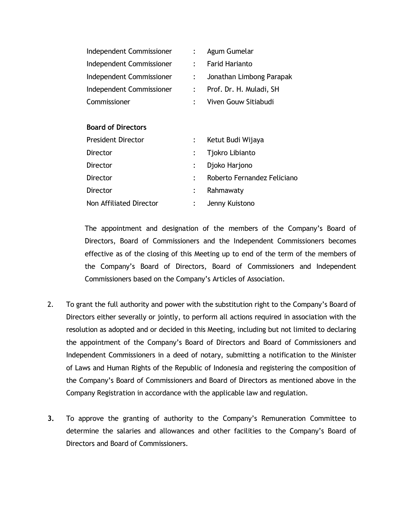| Independent Commissioner  | $\mathbb{R}^{\mathbb{Z}}$ | Agum Gumelar                |
|---------------------------|---------------------------|-----------------------------|
| Independent Commissioner  | $\ddot{\cdot}$            | <b>Farid Harianto</b>       |
| Independent Commissioner  | $\ddot{\cdot}$            | Jonathan Limbong Parapak    |
| Independent Commissioner  | $\mathbb{Z}^{\mathbb{Z}}$ | Prof. Dr. H. Muladi, SH     |
| Commissioner              | $\ddot{\cdot}$            | Viven Gouw Sitiabudi        |
|                           |                           |                             |
| <b>Board of Directors</b> |                           |                             |
| President Director        | $\ddot{\phantom{0}}$      | Ketut Budi Wijaya           |
| Director                  | $\ddot{\cdot}$            | Tjokro Libianto             |
| Director                  | $\ddot{\cdot}$            | Djoko Harjono               |
| Director                  | $\ddot{\cdot}$            | Roberto Fernandez Feliciano |
| Director                  | $\ddot{\cdot}$            | Rahmawaty                   |
| Non Affiliated Director   |                           | Jenny Kuistono              |

The appointment and designation of the members of the Company's Board of Directors, Board of Commissioners and the Independent Commissioners becomes effective as of the closing of this Meeting up to end of the term of the members of the Company's Board of Directors, Board of Commissioners and Independent Commissioners based on the Company's Articles of Association.

- 2. To grant the full authority and power with the substitution right to the Company's Board of Directors either severally or jointly, to perform all actions required in association with the resolution as adopted and or decided in this Meeting, including but not limited to declaring the appointment of the Company's Board of Directors and Board of Commissioners and Independent Commissioners in a deed of notary, submitting a notification to the Minister of Laws and Human Rights of the Republic of Indonesia and registering the composition of the Company's Board of Commissioners and Board of Directors as mentioned above in the Company Registration in accordance with the applicable law and regulation.
- **3.** To approve the granting of authority to the Company's Remuneration Committee to determine the salaries and allowances and other facilities to the Company's Board of Directors and Board of Commissioners.